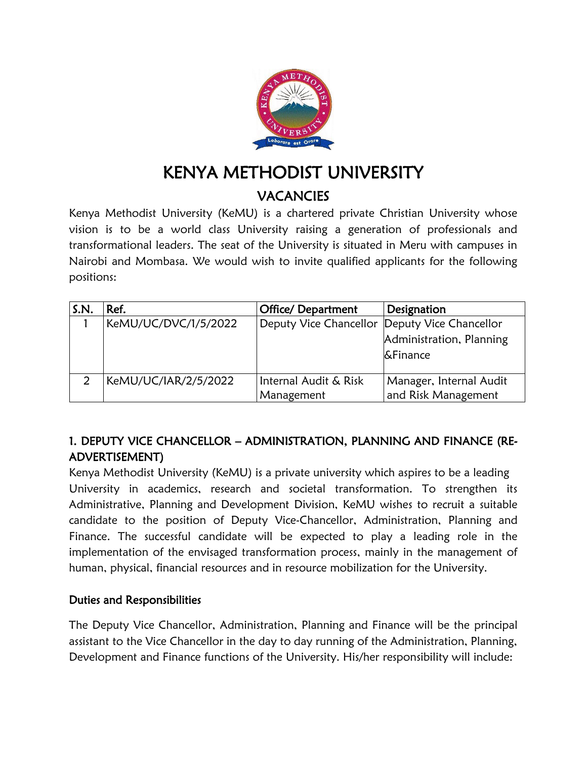

# KENYA METHODIST UNIVERSITY **VACANCIES**

Kenya Methodist University (KeMU) is a chartered private Christian University whose vision is to be a world class University raising a generation of professionals and transformational leaders. The seat of the University is situated in Meru with campuses in Nairobi and Mombasa. We would wish to invite qualified applicants for the following positions:

| S.N. | Ref.                 | <b>Office/ Department</b>                     | Designation              |
|------|----------------------|-----------------------------------------------|--------------------------|
|      | KeMU/UC/DVC/1/5/2022 | Deputy Vice Chancellor Deputy Vice Chancellor |                          |
|      |                      |                                               | Administration, Planning |
|      |                      |                                               | <b>&amp;Finance</b>      |
|      |                      |                                               |                          |
|      | KeMU/UC/IAR/2/5/2022 | Internal Audit & Risk                         | Manager, Internal Audit  |
|      |                      | Management                                    | and Risk Management      |

# 1. DEPUTY VICE CHANCELLOR – ADMINISTRATION, PLANNING AND FINANCE (RE-ADVERTISEMENT)

Kenya Methodist University (KeMU) is a private university which aspires to be a leading University in academics, research and societal transformation. To strengthen its Administrative, Planning and Development Division, KeMU wishes to recruit a suitable candidate to the position of Deputy Vice-Chancellor, Administration, Planning and Finance. The successful candidate will be expected to play a leading role in the implementation of the envisaged transformation process, mainly in the management of human, physical, financial resources and in resource mobilization for the University.

#### Duties and Responsibilities

The Deputy Vice Chancellor, Administration, Planning and Finance will be the principal assistant to the Vice Chancellor in the day to day running of the Administration, Planning, Development and Finance functions of the University. His/her responsibility will include: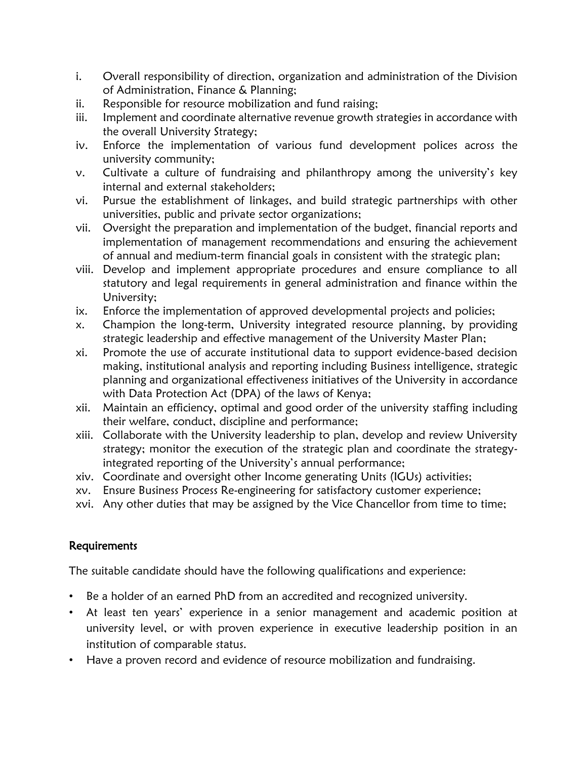- i. Overall responsibility of direction, organization and administration of the Division of Administration, Finance & Planning;
- ii. Responsible for resource mobilization and fund raising;
- iii. Implement and coordinate alternative revenue growth strategies in accordance with the overall University Strategy;
- iv. Enforce the implementation of various fund development polices across the university community;
- v. Cultivate a culture of fundraising and philanthropy among the university's key internal and external stakeholders;
- vi. Pursue the establishment of linkages, and build strategic partnerships with other universities, public and private sector organizations;
- vii. Oversight the preparation and implementation of the budget, financial reports and implementation of management recommendations and ensuring the achievement of annual and medium-term financial goals in consistent with the strategic plan;
- viii. Develop and implement appropriate procedures and ensure compliance to all statutory and legal requirements in general administration and finance within the University;
- ix. Enforce the implementation of approved developmental projects and policies;
- x. Champion the long-term, University integrated resource planning, by providing strategic leadership and effective management of the University Master Plan;
- xi. Promote the use of accurate institutional data to support evidence-based decision making, institutional analysis and reporting including Business intelligence, strategic planning and organizational effectiveness initiatives of the University in accordance with Data Protection Act (DPA) of the laws of Kenya;
- xii. Maintain an efficiency, optimal and good order of the university staffing including their welfare, conduct, discipline and performance;
- xiii. Collaborate with the University leadership to plan, develop and review University strategy; monitor the execution of the strategic plan and coordinate the strategyintegrated reporting of the University's annual performance;
- xiv. Coordinate and oversight other Income generating Units (IGUs) activities;
- xv. Ensure Business Process Re-engineering for satisfactory customer experience;
- xvi. Any other duties that may be assigned by the Vice Chancellor from time to time;

# Requirements

The suitable candidate should have the following qualifications and experience:

- Be a holder of an earned PhD from an accredited and recognized university.
- At least ten years' experience in a senior management and academic position at university level, or with proven experience in executive leadership position in an institution of comparable status.
- Have a proven record and evidence of resource mobilization and fundraising.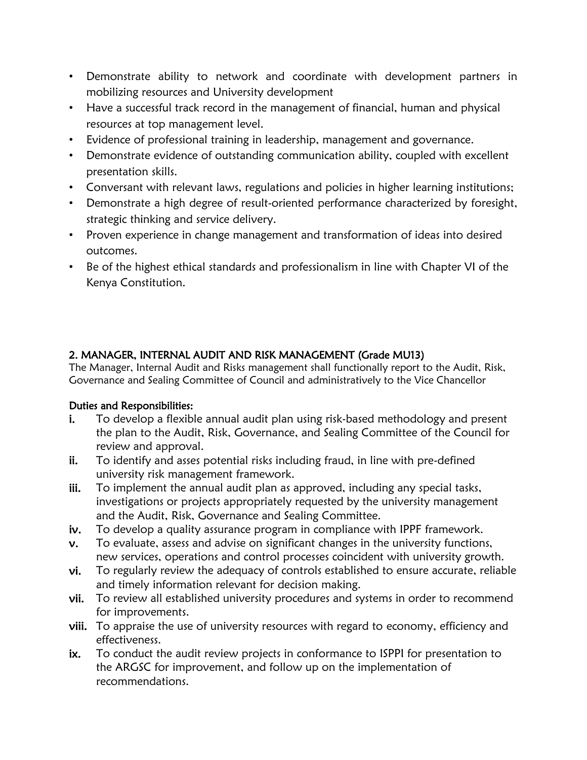- Demonstrate ability to network and coordinate with development partners in mobilizing resources and University development
- Have a successful track record in the management of financial, human and physical resources at top management level.
- Evidence of professional training in leadership, management and governance.
- Demonstrate evidence of outstanding communication ability, coupled with excellent presentation skills.
- Conversant with relevant laws, regulations and policies in higher learning institutions;
- Demonstrate a high degree of result-oriented performance characterized by foresight, strategic thinking and service delivery.
- Proven experience in change management and transformation of ideas into desired outcomes.
- Be of the highest ethical standards and professionalism in line with Chapter VI of the Kenya Constitution.

#### 2. MANAGER, INTERNAL AUDIT AND RISK MANAGEMENT (Grade MU13)

The Manager, Internal Audit and Risks management shall functionally report to the Audit, Risk, Governance and Sealing Committee of Council and administratively to the Vice Chancellor

#### Duties and Responsibilities:

- i. To develop a flexible annual audit plan using risk-based methodology and present the plan to the Audit, Risk, Governance, and Sealing Committee of the Council for review and approval.
- ii. To identify and asses potential risks including fraud, in line with pre-defined university risk management framework.
- iii. To implement the annual audit plan as approved, including any special tasks, investigations or projects appropriately requested by the university management and the Audit, Risk, Governance and Sealing Committee.
- iv. To develop a quality assurance program in compliance with IPPF framework.
- v. To evaluate, assess and advise on significant changes in the university functions, new services, operations and control processes coincident with university growth.
- vi. To regularly review the adequacy of controls established to ensure accurate, reliable and timely information relevant for decision making.
- vii. To review all established university procedures and systems in order to recommend for improvements.
- viii. To appraise the use of university resources with regard to economy, efficiency and effectiveness.
- ix. To conduct the audit review projects in conformance to ISPPI for presentation to the ARGSC for improvement, and follow up on the implementation of recommendations.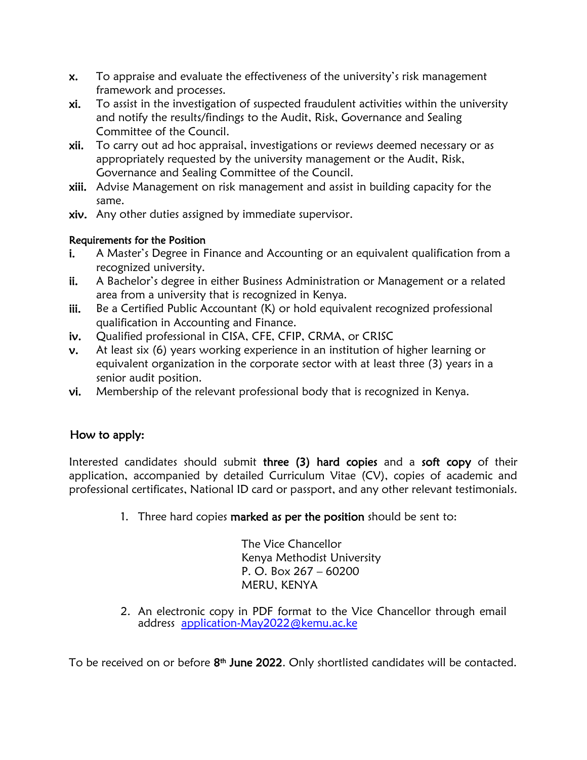- x. To appraise and evaluate the effectiveness of the university's risk management framework and processes.
- xi. To assist in the investigation of suspected fraudulent activities within the university and notify the results/findings to the Audit, Risk, Governance and Sealing Committee of the Council.
- xii. To carry out ad hoc appraisal, investigations or reviews deemed necessary or as appropriately requested by the university management or the Audit, Risk, Governance and Sealing Committee of the Council.
- xiii. Advise Management on risk management and assist in building capacity for the same.
- xiv. Any other duties assigned by immediate supervisor.

#### Requirements for the Position

- i. A Master's Degree in Finance and Accounting or an equivalent qualification from a recognized university.
- ii. A Bachelor's degree in either Business Administration or Management or a related area from a university that is recognized in Kenya.
- iii. Be a Certified Public Accountant (K) or hold equivalent recognized professional qualification in Accounting and Finance.
- iv. Qualified professional in CISA, CFE, CFIP, CRMA, or CRISC
- v. At least six (6) years working experience in an institution of higher learning or equivalent organization in the corporate sector with at least three (3) years in a senior audit position.
- vi. Membership of the relevant professional body that is recognized in Kenya.

# How to apply:

Interested candidates should submit three (3) hard copies and a soft copy of their application, accompanied by detailed Curriculum Vitae (CV), copies of academic and professional certificates, National ID card or passport, and any other relevant testimonials.

1. Three hard copies marked as per the position should be sent to:

The Vice Chancellor Kenya Methodist University P. O. Box 267 – 60200 MERU, KENYA

2. An electronic copy in PDF format to the Vice Chancellor through email address [application-May2022@kemu.ac.ke](mailto:application-May2022@kemu.ac.ke)

To be received on or before  $8<sup>th</sup>$  June 2022. Only shortlisted candidates will be contacted.